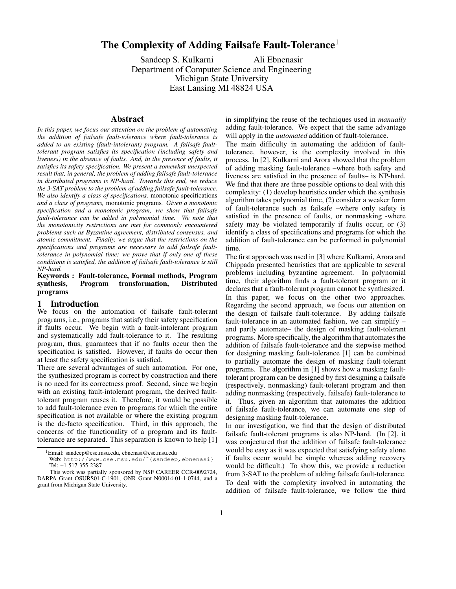# **The Complexity of Adding Failsafe Fault-Tolerance**<sup>1</sup>

Sandeep S. Kulkarni Ali Ebnenasir Department of Computer Science and Engineering Michigan State University East Lansing MI 48824 USA

# **Abstract**

*In this paper, we focus our attention on the problem of automating the addition of failsafe fault-tolerance where fault-tolerance is added to an existing (fault-intolerant) program. A failsafe faulttolerant program satisfies its specification (including safety and liveness) in the absence of faults. And, in the presence of faults, it satisfies its safety specification. We present a somewhat unexpected result that, in general, the problem of adding failsafe fault-tolerance in distributed programs is NP-hard. Towards this end, we reduce the 3-SAT problem to the problem of adding failsafe fault-tolerance. We also identify a class of specifications,* monotonic specifications *and a class of programs,* monotonic programs*. Given a monotonic specification and a monotonic program, we show that failsafe fault-tolerance can be added in polynomial time. We note that the monotonicity restrictions are met for commonly encountered problems such as Byzantine agreement, distributed consensus, and atomic commitment. Finally, we argue that the restrictions on the specifications and programs are necessary to add failsafe faulttolerance in polynomial time; we prove that if only one of these conditions is satisfied, the addition of failsafe fault-tolerance is still NP-hard.*

**Keywords : Fault-tolerance, Formal methods, Program synthesis, Program transformation**, **programs**

#### **1 Introduction**

We focus on the automation of failsafe fault-tolerant programs, i.e., programs that satisfy their safety specification if faults occur. We begin with a fault-intolerant program and systematically add fault-tolerance to it. The resulting program, thus, guarantees that if no faults occur then the specification is satisfied. However, if faults do occur then at least the safety specification is satisfied.

There are several advantages of such automation. For one, the synthesized program is correct by construction and there is no need for its correctness proof. Second, since we begin with an existing fault-intolerant program, the derived faulttolerant program reuses it. Therefore, it would be possible to add fault-tolerance even to programs for which the entire specification is not available or where the existing program is the de-facto specification. Third, in this approach, the concerns of the functionality of a program and its faulttolerance are separated. This separation is known to help [1]

in simplifying the reuse of the techniques used in *manually* adding fault-tolerance. We expect that the same advantage will apply in the *automated* addition of fault-tolerance.

The main difficulty in automating the addition of faulttolerance, however, is the complexity involved in this process. In [2], Kulkarni and Arora showed that the problem of adding masking fault-tolerance –where both safety and liveness are satisfied in the presence of faults– is NP-hard. We find that there are three possible options to deal with this complexity: (1) develop heuristics under which the synthesis algorithm takes polynomial time, (2) consider a weaker form of fault-tolerance such as failsafe –where only safety is satisfied in the presence of faults, or nonmasking -where safety may be violated temporarily if faults occur, or  $(3)$ identify a class of specifications and programs for which the addition of fault-tolerance can be performed in polynomial time.

The first approach was used in [3] where Kulkarni, Arora and Chippada presented heuristics that are applicable to several problems including byzantine agreement. In polynomial time, their algorithm finds a fault-tolerant program or it declares that a fault-tolerant program cannot be synthesized. In this paper, we focus on the other two approaches. Regarding the second approach, we focus our attention on the design of failsafe fault-tolerance. By adding failsafe fault-tolerance in an automated fashion, we can simplify – and partly automate– the design of masking fault-tolerant programs. More specifically, the algorithm that automates the addition of failsafe fault-tolerance and the stepwise method for designing masking fault-tolerance [1] can be combined to partially automate the design of masking fault-tolerant programs. The algorithm in [1] shows how a masking faulttolerant program can be designed by first designing a failsafe (respectively, nonmasking) fault-tolerant program and then adding nonmasking (respectively, failsafe) fault-tolerance to it. Thus, given an algorithm that automates the addition of failsafe fault-tolerance, we can automate one step of designing masking fault-tolerance.

In our investigation, we find that the design of distributed failsafe fault-tolerant programs is also NP-hard. (In [2], it was conjectured that the addition of failsafe fault-tolerance would be easy as it was expected that satisfying safety alone if faults occur would be simple whereas adding recovery would be difficult.) To show this, we provide a reduction from 3-SAT to the problem of adding failsafe fault-tolerance. To deal with the complexity involved in automating the addition of failsafe fault-tolerance, we follow the third

<sup>1</sup>Email: sandeep@cse.msu.edu, ebnenasi@cse.msu.edu

Web: http://www.cse.msu.edu/~{sandeep,ebnenasi} Tel: +1-517-355-2387

This work was partially sponsored by NSF CAREER CCR-0092724, DARPA Grant OSURS01-C-1901, ONR Grant N00014-01-1-0744, and a grant from Michigan State University.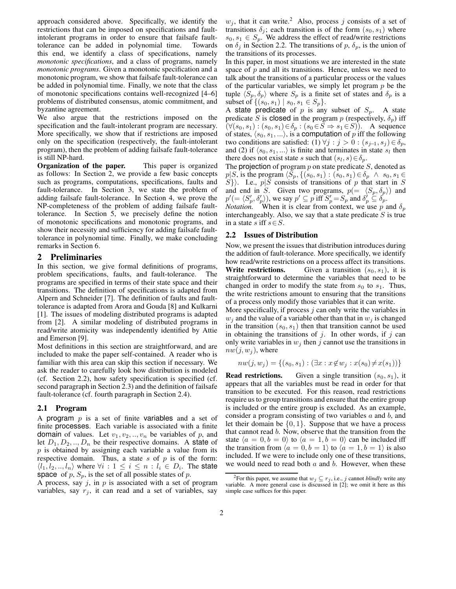approach considered above. Specifically, we identify the restrictions that can be imposed on specifications and faultintolerant programs in order to ensure that failsafe faulttolerance can be added in polynomial time. Towards this end, we identify a class of specifications, namely *monotonic specifications*, and a class of programs, namely *monotonic programs*. Given a monotonic specification and a monotonic program, we show that failsafe fault-tolerance can be added in polynomial time. Finally, we note that the class of monotonic specifications contains well-recognized [4–6] problems of distributed consensus, atomic commitment, and byzantine agreement.

We also argue that the restrictions imposed on the specification and the fault-intolerant program are necessary. More specifically, we show that if restrictions are imposed only on the specification (respectively, the fault-intolerant program), then the problem of adding failsafe fault-tolerance is still NP-hard.

**Organization of the paper.** This paper is organized as follows: In Section 2, we provide a few basic concepts such as programs, computations, specifications, faults and fault-tolerance. In Section 3, we state the problem of adding failsafe fault-tolerance. In Section 4, we prove the NP-completeness of the problem of adding failsafe faulttolerance. In Section 5, we precisely define the notion of monotonic specifications and monotonic programs, and show their necessity and sufficiency for adding failsafe faulttolerance in polynomial time. Finally, we make concluding remarks in Section 6.

# **2 Preliminaries**

In this section, we give formal definitions of programs, problem specifications, faults, and fault-tolerance. The programs are specified in terms of their state space and their transitions. The definition of specifications is adapted from Alpern and Schneider [7]. The definition of faults and faulttolerance is adapted from Arora and Gouda [8] and Kulkarni [1]. The issues of modeling distributed programs is adapted from [2]. A similar modeling of distributed programs in read/write atomicity was independently identified by Attie and Emerson [9].

Most definitions in this section are straightforward, and are included to make the paper self-contained. A reader who is familiar with this area can skip this section if necessary. We ask the reader to carefully look how distribution is modeled (cf. Section 2.2), how safety specification is specified (cf. second paragraph in Section 2.3) and the definition of failsafe fault-tolerance (cf. fourth paragraph in Section 2.4).

# **2.1 Program**

A program  $p$  is a set of finite variables and a set of finite processes. Each variable is associated with a finite domain of values. Let  $v_1, v_2, \ldots, v_n$  be variables of p, and let  $D_1, D_2, \ldots, D_n$  be their respective domains. A state of  $p$  is obtained by assigning each variable a value from its respective domain. Thus, a state  $s$  of  $p$  is of the form:  $\langle l_1, l_2, ..., l_n \rangle$  where  $\forall i : 1 \leq i \leq n : l_i \in D_i$ . The state space of p,  $S_p$ , is the set of all possible states of p.

A process, say  $j$ , in  $p$  is associated with a set of program variables, say  $r_j$ , it can read and a set of variables, say

 $w_i$ , that it can write.<sup>2</sup> Also, process j consists of a set of transitions  $\delta_j$ ; each transition is of the form  $(s_0, s_1)$  where  $s_0, s_1 \in S_p$ . We address the effect of read/write restrictions on  $\delta_j$  in Section 2.2. The transitions of p,  $\delta_p$ , is the union of the transitions of its processes.

In this paper, in most situations we are interested in the state space of  $p$  and all its transitions. Hence, unless we need to talk about the transitions of a particular process or the values of the particular variables, we simply let program  $p$  be the tuple  $\langle S_p, \delta_p \rangle$  where  $S_p$  is a finite set of states and  $\delta_p$  is a subset of  $\{(s_0, s_1) | s_0, s_1 \in S_p\}.$ 

A state predicate of p is any subset of  $S_p$ . A state predicate S is closed in the program p (respectively,  $\delta_p$ ) iff  $(\forall (s_0, s_1) : (s_0, s_1) \in \delta_p : (s_0 \in S \Rightarrow s_1 \in S)).$  A sequence of states,  $\langle s_0, s_1, ...\rangle$ , is a computation of p iff the following two conditions are satisfied: (1)  $\forall j : j > 0 : (s_{j-1}, s_j) \in \delta_p$ , and (2) if  $\langle s_0, s_1, \ldots \rangle$  is finite and terminates in state  $s_l$  then there does not exist state s such that  $(s_l, s) \in \delta_p$ .

The projection of program  $p$  on state predicate  $S$ , denoted as  $p|S$ , is the program  $\langle S_p, \{(s_0, s_1) : (s_0, s_1) \in \delta_p \land s_0, s_1 \in$  $S\}$ . I.e.,  $p|S$  consists of transitions of p that start in S and end in S. Given two programs,  $p (= \langle S_p, \delta_p \rangle)$  and  $p' = \langle S'_p, \delta'_p \rangle$ , we say  $p' \subseteq p$  iff  $S'_p = S_p$  and  $\delta'_p \subseteq \delta'_p$ .

*Notation.* When it is clear from context, we use p and  $\delta_p$ interchangeably. Also, we say that a state predicate  $S$  is true in a state s iff  $s \in S$ .

#### **2.2 Issues of Distribution**

Now, we present the issues that distribution introduces during the addition of fault-tolerance. More specifically, we identify how read/write restrictions on a process affect its transitions. **Write restrictions.** Given a transition  $(s_0, s_1)$ , it is straightforward to determine the variables that need to be changed in order to modify the state from  $s_0$  to  $s_1$ . Thus, the write restrictions amount to ensuring that the transitions of a process only modify those variables that it can write.

More specifically, if process  $j$  can only write the variables in  $w_i$  and the value of a variable other than that in  $w_i$  is changed in the transition  $(s_0, s_1)$  then that transition cannot be used in obtaining the transitions of  $j$ . In other words, if  $j$  can only write variables in  $w_j$  then j cannot use the transitions in  $nw(j, w_j)$ , where

$$
nw(j, w_j) = \{(s_0, s_1) : (\exists x : x \notin w_j : x(s_0) \neq x(s_1))\}
$$

**Read restrictions.** Given a single transition  $(s_0, s_1)$ , it appears that all the variables must be read in order for that transition to be executed. For this reason, read restrictions require us to group transitions and ensure that the entire group is included or the entire group is excluded. As an example, consider a program consisting of two variables a and b, and let their domain be  $\{0, 1\}$ . Suppose that we have a process that cannot read b. Now, observe that the transition from the state  $\langle a = 0, b = 0 \rangle$  to  $\langle a = 1, b = 0 \rangle$  can be included iff the transition from  $\langle a = 0, b = 1 \rangle$  to  $\langle a = 1, b = 1 \rangle$  is also included. If we were to include only one of these transitions, we would need to read both  $a$  and  $b$ . However, when these

<sup>&</sup>lt;sup>2</sup>For this paper, we assume that  $w_j \subseteq r_j$ , i.e., j cannot *blindly* write any variable. A more general case is discussed in [2]; we omit it here as this simple case suffices for this paper.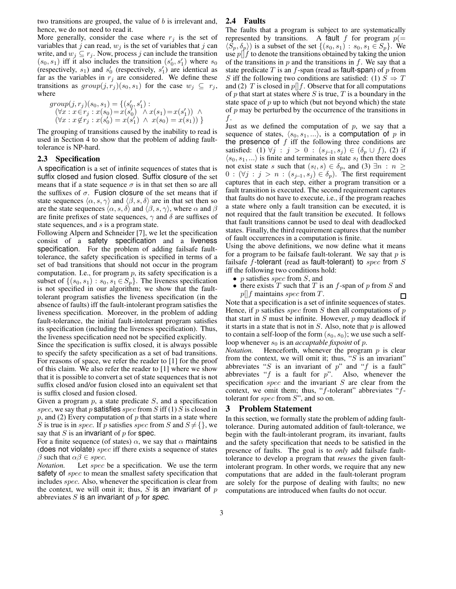two transitions are grouped, the value of  $b$  is irrelevant and, hence, we do not need to read it.

More generally, consider the case where  $r_i$  is the set of variables that j can read,  $w_j$  is the set of variables that j can write, and  $w_j \subseteq r_j$ . Now, process j can include the transition  $(s_0, s_1)$  iff it also includes the transition  $(s'_0, s'_1)$  where  $s_0$ (respectively,  $s_1$ ) and  $s'_0$  (respectively,  $s'_1$ ) are identical as far as the variables in  $r_i$  are considered. We define these transitions as  $group(j, r_j)(s_0, s_1)$  for the case  $w_j \subseteq r_j$ , where

$$
group(j, r_j)(s_0, s_1) = \{(s'_0, s'_1) :\\ (\forall x: x \in r_j : x(s_0) = x(s'_0) \land x(s_1) = x(s'_1)) \land\\ (\forall x: x \notin r_j : x(s'_0) = x(s'_1) \land x(s_0) = x(s_1)) \}
$$

The grouping of transitions caused by the inability to read is used in Section 4 to show that the problem of adding faulttolerance is NP-hard.

# **2.3 Specification**

A specification is a set of infinite sequences of states that is suffix closed and fusion closed. Suffix closure of the set means that if a state sequence  $\sigma$  is in that set then so are all the suffixes of  $\sigma$ . Fusion closure of the set means that if state sequences  $\langle \alpha, s, \gamma \rangle$  and  $\langle \beta, s, \delta \rangle$  are in that set then so are the state sequences  $\langle \alpha, s, \delta \rangle$  and  $\langle \beta, s, \gamma \rangle$ , where  $\alpha$  and  $\beta$ are finite prefixes of state sequences,  $\gamma$  and  $\delta$  are suffixes of state sequences, and s is a program state.

Following Alpern and Schneider [7], we let the specification consist of a safety specification and a liveness specification. For the problem of adding failsafe faulttolerance, the safety specification is specified in terms of a set of bad transitions that should not occur in the program computation. I.e., for program  $p$ , its safety specification is a subset of  $\{(s_0, s_1) : s_0, s_1 \in S_p\}$ . The liveness specification is not specified in our algorithm; we show that the faulttolerant program satisfies the liveness specification (in the absence of faults) iff the fault-intolerant program satisfies the liveness specification. Moreover, in the problem of adding fault-tolerance, the initial fault-intolerant program satisfies its specification (including the liveness specification). Thus, the liveness specification need not be specified explicitly.

Since the specification is suffix closed, it is always possible to specify the safety specification as a set of bad transitions. For reasons of space, we refer the reader to [1] for the proof of this claim. We also refer the reader to [1] where we show that it is possible to convert a set of state sequences that is not suffix closed and/or fusion closed into an equivalent set that is suffix closed and fusion closed.

Given a program  $p$ , a state predicate  $S$ , and a specification spec, we say that p satisfies spec from S iff (1) S is closed in  $p$ , and (2) Every computation of  $p$  that starts in a state where S is true is in *spec*. If p satisfies *spec* from S and  $S \neq \{\}$ , we say that  $S$  is an invariant of  $p$  for spec.

For a finite sequence (of states)  $\alpha$ , we say that  $\alpha$  maintains (does not violate)  $spec$  iff there exists a sequence of states β such that  $\alpha\beta \in spec$ .

*Notation.* Let spec be a specification. We use the term safety of *spec* to mean the smallest safety specification that includes spec. Also, whenever the specification is clear from the context, we will omit it; thus,  $S$  is an invariant of  $p$ abbreviates  $S$  is an invariant of  $p$  for spec.

## **2.4 Faults**

The faults that a program is subject to are systematically represented by transitions. A fault f for program  $p(=$  $\langle \overline{S_p}, \delta_p \rangle$  is a subset of the set  $\{(s_0, s_1) : s_0, s_1 \in S_p\}$ . We use  $p[|f]$  to denote the transitions obtained by taking the union of the transitions in  $p$  and the transitions in  $f$ . We say that a state predicate  $T$  is an  $f$ -span (read as fault-span) of  $p$  from S iff the following two conditions are satisfied: (1)  $S \Rightarrow T$ and (2) T is closed in  $p||f$ . Observe that for all computations of  $p$  that start at states where  $S$  is true,  $T$  is a boundary in the state space of  $p$  up to which (but not beyond which) the state of  $p$  may be perturbed by the occurrence of the transitions in f.

Just as we defined the computation of  $p$ , we say that a sequence of states,  $\langle s_0, s_1, \ldots \rangle$ , is a computation of p in the presence of  $f$  iff the following three conditions are satisfied: (1)  $\forall j$  : j > 0 :  $(s_{j-1}, s_j) \in (\delta_p \cup f)$ , (2) if  $\langle s_0, s_1, \ldots \rangle$  is finite and terminates in state  $s_l$  then there does not exist state s such that  $(s_l, s) \in \delta_p$ , and (3)  $\exists n : n \geq$  $0 : (\forall j : j > n : (s_{j-1}, s_j) \in \delta_p)$ . The first requirement captures that in each step, either a program transition or a fault transition is executed. The second requirement captures that faults do not have to execute, i.e., if the program reaches a state where only a fault transition can be executed, it is not required that the fault transition be executed. It follows that fault transitions cannot be used to deal with deadlocked states. Finally, the third requirement captures that the number of fault occurrences in a computation is finite.

Using the above definitions, we now define what it means for a program to be failsafe fault-tolerant. We say that  $p$  is failsafe  $f$ -tolerant (read as fault-tolerant) to spec from  $S$ iff the following two conditions hold:

- p satisfies  $spec$  from  $S$ , and
- there exists  $T$  such that  $T$  is an  $f$ -span of  $p$  from  $S$  and  $p[|f]$  maintains spec from T.

Note that a specification is a set of infinite sequences of states. Hence, if  $p$  satisfies spec from  $S$  then all computations of  $p$ that start in  $S$  must be infinite. However,  $p$  may deadlock if it starts in a state that is not in  $S$ . Also, note that  $p$  is allowed to contain a self-loop of the form  $(s_0, s_0)$ ; we use such a selfloop whenever  $s_0$  is an *accaptable* fixpoint of p.

*Notation.* Henceforth, whenever the program  $p$  is clear from the context, we will omit it; thus, " $S$  is an invariant" abbreviates "S is an invariant of p" and "f is a fault" abbreviates " $f$  is a fault for  $p$ ". Also, whenever the specification  $spec$  and the invariant  $S$  are clear from the context, we omit them; thus, "f-tolerant" abbreviates "ftolerant for spec from S", and so on.

## **3 Problem Statement**

In this section, we formally state the problem of adding faulttolerance. During automated addition of fault-tolerance, we begin with the fault-intolerant program, its invariant, faults and the safety specification that needs to be satisfied in the presence of faults. The goal is to *only* add failsafe faulttolerance to develop a program that *reuses* the given faultintolerant program. In other words, we require that any new computations that are added in the fault-tolerant program are solely for the purpose of dealing with faults; no new computations are introduced when faults do not occur.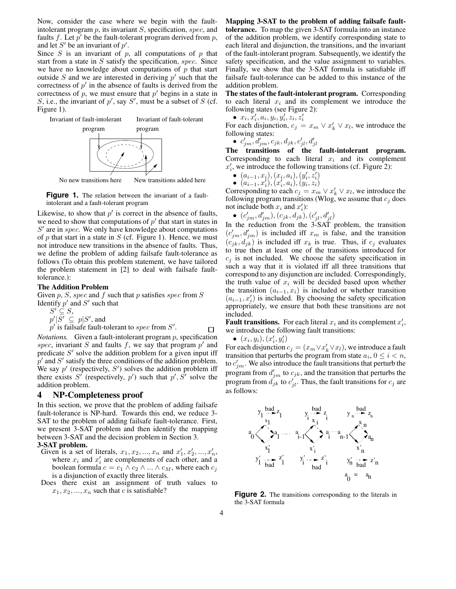Now, consider the case where we begin with the faultintolerant program  $p$ , its invariant  $S$ , specification, spec, and faults f. Let  $p'$  be the fault-tolerant program derived from p, and let S' be an invariant of  $p'$ .

Since  $S$  is an invariant of  $p$ , all computations of  $p$  that start from a state in  $S$  satisfy the specification,  $spec$ . Since we have no knowledge about computations of  $p$  that start outside  $S$  and we are interested in deriving  $p'$  such that the correctness of  $p'$  in the absence of faults is derived from the correctness of  $p$ , we must ensure that  $p'$  begins in a state in S, i.e., the invariant of  $p'$ , say S', must be a subset of S (cf. Figure 1).



No new transitions here New transitions added here

**Figure 1.** The relation between the invariant of a faultintolerant and a fault-tolerant program

Likewise, to show that  $p'$  is correct in the absence of faults, we need to show that computations of  $p'$  that start in states in  $S'$  are in spec. We only have knowledge about computations of  $p$  that start in a state in  $S$  (cf. Figure 1). Hence, we must not introduce new transitions in the absence of faults. Thus, we define the problem of adding failsafe fault-tolerance as follows (To obtain this problem statement, we have tailored the problem statement in [2] to deal with failsafe faulttolerance.):

## **The Addition Problem**

Given  $p$ ,  $S$ , spec and  $f$  such that  $p$  satisfies spec from  $S$ Identify  $p'$  and  $S'$  such that

 $S' \subseteq S$ ,

 $p'|\overline{S'} \subseteq p|S'$ , and

p' is failsafe fault-tolerant to spec from S'.

*Notations.* Given a fault-intolerant program p, specification spec, invariant S and faults f, we say that program  $p'$  and predicate  $S'$  solve the addition problem for a given input iff  $p'$  and  $S'$  satisfy the three conditions of the addition problem. We say  $p'$  (respectively,  $S'$ ) solves the addition problem iff there exists S' (respectively, p') such that  $p'$ , S' solve the addition problem.

## **4 NP-Completeness proof**

In this section, we prove that the problem of adding failsafe fault-tolerance is NP-hard. Towards this end, we reduce 3- SAT to the problem of adding failsafe fault-tolerance. First, we present 3-SAT problem and then identify the mapping between 3-SAT and the decision problem in Section 3.

# **3-SAT problem.**

- Given is a set of literals,  $x_1, x_2, ..., x_n$  and  $x'_1, x'_2, ..., x'_n$ , where  $x_i$  and  $x'_i$  are complements of each other, and a boolean formula  $c = c_1 \wedge c_2 \wedge ... \wedge c_M$ , where each  $c_j$ is a disjunction of exactly three literals.
- Does there exist an assignment of truth values to  $x_1, x_2, ..., x_n$  such that c is satisfiable?

**Mapping 3-SAT to the problem of adding failsafe faulttolerance.** To map the given 3-SAT formula into an instance of the addition problem, we identify corresponding state to each literal and disjunction, the transitions, and the invariant of the fault-intolerant program. Subsequently, we identify the safety specification, and the value assignment to variables. Finally, we show that the 3-SAT formula is satisfiable iff failsafe fault-tolerance can be added to this instance of the addition problem.

**The states of the fault-intolerant program.** Corresponding to each literal  $x_i$  and its complement we introduce the following states (see Figure 2):

•  $x_i, x'_i, a_i, y_i, y'_i, z_i, z'_i$ 

For each disjunction,  $c_j = x_m \vee x'_k \vee x_l$ , we introduce the following states:

 $\bullet$   $c'_{jm}, d'_{jm}, c_{jk}, d_{jk}, c'_{jk}$  $'_{jl}, d'_j$ jl

**The transitions of the fault-intolerant program.** Corresponding to each literal  $x_i$  and its complement  $x'_i$ , we introduce the following transitions (cf. Figure 2):

- $\bullet$   $(a_{i-1}, x_i), (x_i, a_i), (y'_i, z'_i)$
- $(a_{i-1}, x'_i), (x'_i, a_i), (y_i, z_i)$

Corresponding to each  $c_j = x_m \vee x'_k \vee x_l$ , we introduce the following program transitions (Wlog, we assume that  $c_j$  does not include both  $x_i$  and  $x'_i$ ):

• 
$$
(c'_{jm}, d'_{jm}), (c_{jk}, d_{jk}), (c'_{jl}, d'_{jl})
$$

In the reduction from the 3-SAT problem, the transition  $(c'_{jm}, d'_{jm})$  is included iff  $x_m$  is false, and the transition  $(c_{jk}, d_{jk})$  is included iff  $x_k$  is true. Thus, if  $c_j$  evaluates to true then at least one of the transitions introduced for  $c_i$  is not included. We choose the safety specification in such a way that it is violated iff all three transitions that correspond to any disjunction are included. Correspondingly, the truth value of  $x_i$  will be decided based upon whether the transition  $(a_{i-1}, x_i)$  is included or whether transition  $(a_{i-1}, x'_i)$  is included. By choosing the safety specification appropriately, we ensure that both these transitions are not included.

**Fault transitions.** For each literal  $x_i$  and its complement  $x'_i$ , we introduce the following fault transitions:

•  $(x_i, y_i), (x'_i, y'_i)$ 

For each disjunction  $c_j = (x_m \vee x_k' \vee x_l)$ , we introduce a fault transition that perturbs the program from state  $a_i, 0 \le i < n$ , to  $c'_{jm}$ . We also introduce the fault transitions that perturb the program from  $d'_{jm}$  to  $c_{jk}$ , and the transition that perturbs the program from  $d_{jk}$  to  $c'_j$  $j_l$ . Thus, the fault transitions for  $c_j$  are as follows:



**Figure 2.** The transitions corresponding to the literals in the 3-SAT formula

□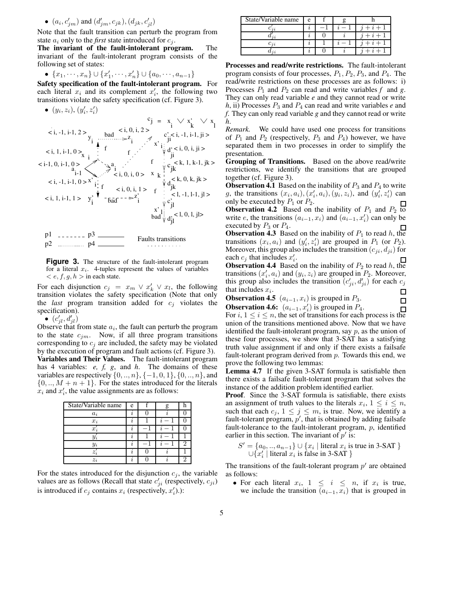•  $(a_i, c'_{jm})$  and  $(d'_{jm}, c_{jk}), (d_{jk}, c'_{jk})$  $'_{jl})$ 

Note that the fault transition can perturb the program from state  $a_i$  only to the *first* state introduced for  $c_j$ .

**The invariant of the fault-intolerant program.** The invariant of the fault-intolerant program consists of the following set of states:

• 
$$
\{x_1, \dots, x_n\} \cup \{x'_1, \dots, x'_n\} \cup \{a_0, \dots, a_{n-1}\}\
$$

**Safety specification of the fault-intolerant program.** For each literal  $x_i$  and its complement  $x'_i$ , the following two transitions violate the safety specification (cf. Figure 3).

• (y<sup>i</sup> , zi), (y 0 , z 0 ) i i i z x i z' i a i i-1 a x' i x' l x k i x' c j = x x' x i k l i f y bad < i, -1, i-1, 2 > bad f < i-1, 0, i-1, 0 > f f f d' c'jl d jk c jk c' ji ji d' jl < i, 0, i, ji > < i, -1, i-1, ji > Faults transitions p4 p3 p2 p1 < i, 1, i-1, 1 > y'i < k, 0, k, jk > < k, 1, k-1, jk > < i, 0, i, 2 > < i, 1, i-1, 0 > < i, 0, i, 0 > < l, -1, l-1, jl > < i, 0, i, 1 > < i, -1, i-1, 0 > < l, 0, l, jl> bad

**Figure 3.** The structure of the fault-intolerant program for a literal  $x_i$ . 4-tuples represent the values of variables  $\langle e, f, g, h \rangle$  in each state.

For each disjunction  $c_j = x_m \vee x'_k \vee x_l$ , the following transition violates the safety specification (Note that only the *last* program transition added for  $c_i$  violates the specification).

 $\bullet$  (c)  $'_{jl}, d'_{j}$  $'_{jl}$ 

Observe that from state  $a_i$ , the fault can perturb the program to the state  $c_{jm}$ . Now, if all three program transitions corresponding to  $c_i$  are included, the safety may be violated by the execution of program and fault actions (cf. Figure 3). **Variables and Their Values.** The fault-intolerant program has 4 variables: *e, f, g*, and *h*. The domains of these variables are respectively  $\{0, ..., n\}, \{-1, 0, 1\}, \{0, ..., n\}$ , and  $\{0, ..., M + n + 1\}$ . For the states introduced for the literals  $x_i$  and  $x'_i$ , the value assignments are as follows:

| State/Variable name | e                   |  |   |
|---------------------|---------------------|--|---|
| $a_i$               |                     |  |   |
| $x_i$               |                     |  |   |
| $\boldsymbol{x}$    | $\mathbf{\hat{a}}$  |  |   |
|                     |                     |  |   |
| $y_i$               | $\boldsymbol{\eta}$ |  | ς |
|                     |                     |  |   |
| $z_i$               | $\boldsymbol{\eta}$ |  | € |

For the states introduced for the disjunction  $c_j$ , the variable values are as follows (Recall that state  $c'_{ji}$  (respectively,  $c_{ji}$ ) is introduced if  $c_j$  contains  $x_i$  (respectively,  $x'_i$ ).):

| State/Variable name | e |  |  |
|---------------------|---|--|--|
|                     |   |  |  |
|                     |   |  |  |
|                     |   |  |  |
|                     |   |  |  |

**Processes and read/write restrictions.** The fault-intolerant program consists of four processes,  $P_1$ ,  $P_2$ ,  $P_3$ , and  $P_4$ . The read/write restrictions on these processes are as follows: i) Processes  $P_1$  and  $P_2$  can read and write variables  $f$  and  $g$ . They can only read variable *e* and they cannot read or write  $h$ , ii) Processes  $P_3$  and  $P_4$  can read and write variables *e* and *f*. They can only read variable *g* and they cannot read or write *h*.

*Remark.* We could have used one process for transitions of  $P_1$  and  $P_2$  (respectively,  $P_3$  and  $P_4$ ) however, we have separated them in two processes in order to simplify the presentation.

**Grouping of Transitions.** Based on the above read/write restrictions, we identify the transitions that are grouped together (cf. Figure 3).

**Observation 4.1** Based on the inability of  $P_3$  and  $P_4$  to write g, the transitions  $(x_i, a_i), (x'_i, a_i), (y_i, z_i)$ , and  $(y'_i, z'_i)$  can only be executed by  $P_1$  or  $P_2$ .

**Observation 4.2** Based on the inability of  $P_1$  and  $P_2$  to write *e*, the transitions  $(a_{i-1}, x_i)$  and  $(a_{i-1}, x'_i)$  can only be executed by  $P_3$  or  $P_4$ .

**Observation 4.3** Based on the inability of  $P_1$  to read h, the transitions  $(a_1, a_2)$  and  $(a_2', a_1')$  are ground in  $P_n$   $(an, R)$ transitions  $(x_i, a_i)$  and  $(y'_i, z'_i)$  are grouped in  $P_1$  (or  $P_2$ ). Moreover, this group also includes the transition  $(c_{ji}, d_{ji})$  for each  $c_j$  that includes  $x'_i$ .

**Observation 4.4** Based on the inability of  $P_2$  to read h, the<br> **Observation 4.4** Based on the inability of  $P_2$  to read h, the transitions  $(x'_i, a_i)$  and  $(y_i, z_i)$  are grouped in  $P_2$ . Moreover, this group also includes the transition  $(c'_{ji}, d'_{ji})$  for each  $c_j$ that includes  $x_i$ .  $\Box$ 

**Observation 4.5** 
$$
(a_{i-1}, x_i)
$$
 is grouped in  $P_3$ .  
**Observation 4.6:**  $(a_{i-1}, x'_i)$  is grouped in  $P_4$ .

**Observation 4.6:**  $(a_{i-1}, x'_i)$  is grouped in  $P_4$ . □ union of the transitions mentioned above. Now that we have identified the fault-intolerant program, say  $p$ , as the union of these four processes, we show that 3-SAT has a satisfying truth value assignment if and only if there exists a failsafe fault-tolerant program derived from  $p$ . Towards this end, we prove the following two lemmas:

**Lemma 4.7** If the given 3-SAT formula is satisfiable then there exists a failsafe fault-tolerant program that solves the instance of the addition problem identified earlier.

**Proof**. Since the 3-SAT formula is satisfiable, there exists an assignment of truth values to the literals  $x_i, 1 \leq i \leq n$ , such that each  $c_j$ ,  $1 \leq j \leq m$ , is true. Now, we identify a fault-tolerant program,  $p'$ , that is obtained by adding failsafe fault-tolerance to the fault-intolerant program, p, identified earlier in this section. The invariant of  $p'$  is:

$$
S' = \{a_0, .., a_{n-1}\} \cup \{x_i \mid \text{literal } x_i \text{ is true in 3-SAT }\} \cup \{x'_i \mid \text{literal } x_i \text{ is false in 3-SAT }\}
$$

The transitions of the fault-tolerant program  $p'$  are obtained as follows:

• For each literal  $x_i$ ,  $1 \leq i \leq n$ , if  $x_i$  is true, we include the transition  $(a_{i-1}, x_i)$  that is grouped in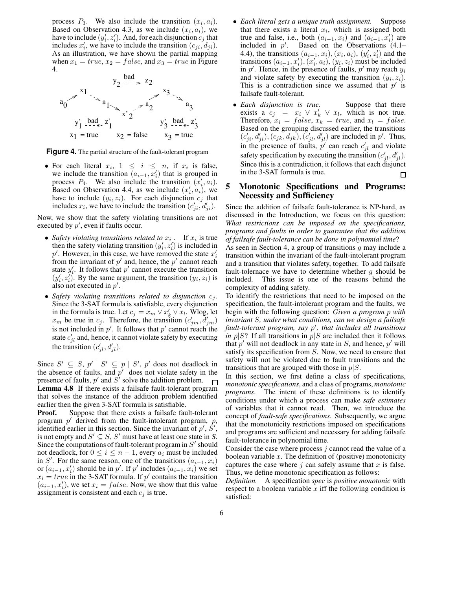process  $P_3$ . We also include the transition  $(x_i, a_i)$ . Based on Observation 4.3, as we include  $(x_i, a_i)$ , we have to include  $(y'_i, z'_i)$ . And, for each disjunction  $c_j$  that includes  $x'_i$ , we have to include the transition  $(c_{ji}, d_{ji})$ . As an illustration, we have shown the partial mapping when  $x_1 = true$ ,  $x_2 = false$ , and  $x_3 = true$  in Figure 4.



**Figure 4.** The partial structure of the fault-tolerant program

• For each literal  $x_i$ ,  $1 \leq i \leq n$ , if  $x_i$  is false, we include the transition  $\overline{(a_{i-1}, x'_i)}$  that is grouped in process  $P_4$ . We also include the transition  $(x'_i, a_i)$ . Based on Observation 4.4, as we include  $(x'_i, a_i)$ , we have to include  $(y_i, z_i)$ . For each disjunction  $c_j$  that includes  $x_i$ , we have to include the transition  $(c'_{ji}, d'_{ji})$ .

Now, we show that the safety violating transitions are not executed by  $p'$ , even if faults occur.

- Safety violating transitions related to  $x_i$ . If  $x_i$  is true then the safety violating transition  $(y'_i, z'_i)$  is included in  $p'$ . However, in this case, we have removed the state  $x'_i$ from the invariant of  $p'$  and, hence, the  $p'$  cannot reach state  $y_i'$ . It follows that p' cannot execute the transition  $(y'_i, z'_i)$ . By the same argument, the transition  $(y_i, z_i)$  is also not executed in  $p'$ .
- *Safety violating transitions related to disjunction*  $c_j$ *.* Since the 3-SAT formula is satisfiable, every disjunction in the formula is true. Let  $c_j = x_m \vee x'_k \vee x_l$ . Wlog, let  $x_m$  be true in  $c_j$ . Therefore, the transition  $(c'_{jm}, d'_{jm})$ is not included in  $p'$ . It follows that  $p'$  cannot reach the state  $c'_{jl}$  and, hence, it cannot violate safety by executing the transition  $(c_1)$  $'_{jl}, d'_{j}$  $'_{jl}$ .

Since  $S' \subseteq S$ ,  $p' | S' \subseteq p | S'$ ,  $p'$  does not deadlock in the absence of faults, and  $p'$  does not violate safety in the presence of faults,  $p'$  and  $S'$  solve the addition problem. **Lemma 4.8** If there exists a failsafe fault-tolerant program that solves the instance of the addition problem identified earlier then the given 3-SAT formula is satisfiable.

**Proof.** Suppose that there exists a failsafe fault-tolerant program  $p'$  derived from the fault-intolerant program,  $p$ , identified earlier in this section. Since the invariant of  $p'$ ,  $S'$ , is not empty and  $S' \subseteq S$ , S' must have at least one state in S. Since the computations of fault-tolerant program in  $S'$  should not deadlock, for  $0 \le i \le n-1$ , every  $a_i$  must be included in S'. For the same reason, one of the transitions  $(a_{i-1}, x_i)$ or  $(a_{i-1}, x'_i)$  should be in p'. If p' includes  $(a_{i-1}, x_i)$  we set  $x_i = true$  in the 3-SAT formula. If p' contains the transition  $(a_{i-1}, x'_i)$ , we set  $x_i = false$ . Now, we show that this value assignment is consistent and each  $c_i$  is true.

- *Each literal gets a unique truth assignment.* Suppose that there exists a literal  $x_i$ , which is assigned both true and false, i.e., both  $(a_{i-1}, x_i)$  and  $(a_{i-1}, x'_i)$  are included in  $p'$ . Based on the Observations (4.1– 4.4), the transitions  $(a_{i-1}, x_i), (x_i, a_i), (y'_i, z'_i)$  and the transitions  $(a_{i-1}, x'_i), (x'_i, a_i), (y_i, z_i)$  must be included in p'. Hence, in the presence of faults, p' may reach  $y_i$ and violate safety by executing the transition  $(y_i, z_i)$ . This is a contradiction since we assumed that  $p'$  is failsafe fault-tolerant.
- *Each disjunction is true.* Suppose that there exists a  $c_j = x_i \vee x'_k \vee x_l$ , which is not true. Therefore,  $x_i = false$ ,  $x_k = true$ , and  $x_l = false$ . Based on the grouping discussed earlier, the transitions  $(c'_{ji}, d'_{ji}), (c_{jk}, d_{jk}), (c'_{jk})$  $'_{jl}, d'_{j}$  $g'_{jl}$ ) are included in p'. Thus, in the presence of faults,  $p'$  can reach  $c'_{jl}$  and violate safety specification by executing the transition  $(c_1)$  $'_{jl}, d'_{j}$  $'_{jl}$ . Since this is a contradiction, it follows that each disjunct in the 3-SAT formula is true.  $\Box$

# **5 Monotonic Specifications and Programs: Necessity and Sufficiency**

Since the addition of failsafe fault-tolerance is NP-hard, as discussed in the Introduction, we focus on this question: *What restrictions can be imposed on the specifications, programs and faults in order to guarantee that the addition of failsafe fault-tolerance can be done in polynomial time*?

As seen in Section 4, a group of transitions  $q$  may include a transition within the invariant of the fault-intolerant program and a transition that violates safety, together. To add failsafe fault-tolernace we have to determine whether  $g$  should be included. This issue is one of the reasons behind the complexity of adding safety.

To identify the restrictions that need to be imposed on the specification, the fault-intolerant program and the faults, we begin with the following question: *Given a program* p *with invariant* S*, under what conditions, can we design a failsafe fault-tolerant program, say* p 0 *, that includes all transitions in*  $p|S$ ? If all transitions in  $p|S$  are included then it follows that  $p'$  will not deadlock in any state in  $S$ , and hence,  $p'$  will satisfy its specification from S. Now, we need to ensure that safety will not be violated due to fault transitions and the transitions that are grouped with those in  $p|S$ .

In this section, we first define a class of specifications, *monotonic specifications*, and a class of programs, *monotonic programs*. The intent of these definitions is to identify conditions under which a process can make *safe estimates* of variables that it cannot read. Then, we introduce the concept of *fault-safe specifications*. Subsequently, we argue that the monotonicity restrictions imposed on specifications and programs are sufficient and necessary for adding failsafe fault-tolerance in polynomial time.

Consider the case where process  $j$  cannot read the value of a boolean variable  $x$ . The definition of (positive) monotonicity captures the case where  $j$  can safely assume that  $x$  is false. Thus, we define monotonic specification as follows:

*Definition.* A specification *spec* is *positive monotonic* with respect to a boolean variable  $x$  iff the following condition is satisfied: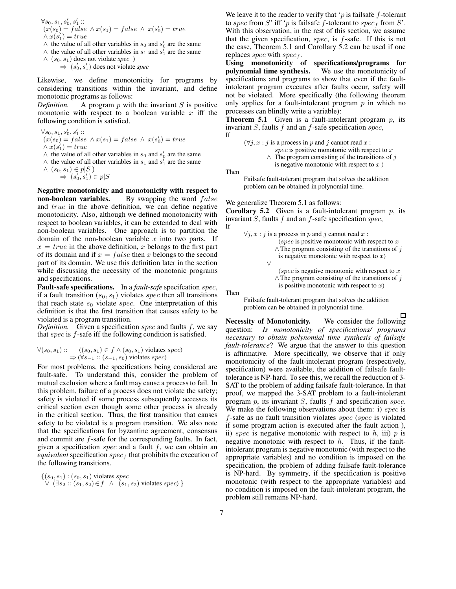$\forall s_0, s_1, s'_0, s'_1$  ::  $(x(s_0) = false \wedge x(s_1) = false \wedge x(s'_0) = true$  $\Lambda x(s'_1) = true$ 

- $\wedge$  the value of all other variables in  $s_0$  and  $s'_0$  are the same
- $\wedge$  the value of all other variables in  $s_1$  and  $s_1'$  are the same

 $\wedge$   $(s_0, s_1)$  does not violate *spec*)  $\Rightarrow$  (s'<sub>0</sub>, s'<sub>1</sub>) does not violate *spec* 

Likewise, we define monotonicity for programs by considering transitions within the invariant, and define monotonic programs as follows:

*Definition.* A program  $p$  with the invariant  $S$  is positive monotonic with respect to a boolean variable x iff the following condition is satisfied.

 $\forall s_0, s_1, s'_0, s'_1$  ::  $(x(s_0) = false \wedge x(s_1) = false \wedge x(s'_0) = true$  $\wedge x(s'_1) = true$ 

- $\wedge$  the value of all other variables in  $s_0$  and  $s'_0$  are the same
- $\wedge$  the value of all other variables in  $s_1$  and  $s'_1$  are the same

 $\wedge$   $(s_0, s_1) \in p | S)$ 

```
\Rightarrow (s'_0, s'_1) \in p | S
```
**Negative monotonicity and monotonicity with respect to non-boolean variables.** By swapping the word  $false$ and true in the above definition, we can define negative monotonicity. Also, although we defined monotonicity with respect to boolean variables, it can be extended to deal with non-boolean variables. One approach is to partition the domain of the non-boolean variable  $x$  into two parts. If  $x = true$  in the above definition, x belongs to the first part of its domain and if  $x = false$  then x belongs to the second part of its domain. We use this definition later in the section while discussing the necessity of the monotonic programs and specifications.

**Fault-safe specifications.** In a *fault-safe* specifcation spec, if a fault transition  $(s_0, s_1)$  violates spec then all transitions that reach state  $s_0$  violate *spec*. One interpretation of this definition is that the first transition that causes safety to be violated is a program transition.

*Definition.* Given a specification  $spec$  and faults  $f$ , we say that  $spec$  is  $f$ -safe iff the following condition is satisfied.

$$
\forall (s_0, s_1) :: ((s_0, s_1) \in f \land (s_0, s_1) \text{ violates } spec)
$$
  

$$
\Rightarrow (\forall s_{-1} :: (s_{-1}, s_0) \text{ violates } spec)
$$

For most problems, the specifications being considered are fault-safe. To understand this, consider the problem of mutual exclusion where a fault may cause a process to fail. In this problem, failure of a process does not violate the safety; safety is violated if some process subsequently accesses its critical section even though some other process is already in the critical section. Thus, the first transition that causes safety to be violated is a program transition. We also note that the specifications for byzantine agreement, consensus and commit are f-safe for the corresponding faults. In fact, given a specification *spec* and a fault  $f$ , we can obtain an *equivalent* specification  $spec_f$  that prohibits the execution of the following transitions.

$$
\{(s_0, s_1) : (s_0, s_1) \text{ violates } spec \vee (\exists s_2 :: (s_1, s_2) \in f \wedge (s_1, s_2) \text{ violates } spec)\}\
$$

We leave it to the reader to verify that 'p is fails af  $f$ -tolerant to spec from S' iff 'p is failsafe f-tolerant to spec<sub>f</sub> from S'. With this observation, in the rest of this section, we assume that the given specification, spec, is f-safe. If this is not the case, Theorem 5.1 and Corollary 5.2 can be used if one replaces spec with  $spec_f$ .

**Using monotonicity of specifications/programs for polynomial time synthesis.** We use the monotonicity of specifications and programs to show that even if the faultintolerant program executes after faults occur, safety will not be violated. More specifically (the following theorem only applies for a fault-intolerant program  $p$  in which no processes can blindly write a variable):

**Theorem 5.1** Given is a fault-intolerant program  $p$ , its invariant  $S$ , faults  $f$  and an  $f$ -safe specification spec, If

> $(\forall j, x : j \text{ is a process in } p \text{ and } j \text{ cannot read } x :$ spec is positive monotonic with respect to  $x$  $\land$  The program consisting of the transitions of j is negative monotonic with respect to  $x$ )

Then

Failsafe fault-tolerant program that solves the addition problem can be obtained in polynomial time.

We generalize Theorem 5.1 as follows:

**Corollary 5.2** Given is a fault-intolerant program  $p$ , its invariant S, faults f and an f-safe specification *spec*, If



Then

Failsafe fault-tolerant program that solves the addition problem can be obtained in polynomial time.

□ **Necessity of Monotonicity.** We consider the following question: *Is monotonicity of specifications/ programs necessary to obtain polynomial time synthesis of failsafe fault-tolerance*? We argue that the answer to this question is affirmative. More specifically, we observe that if only monotonicity of the fault-intolerant program (respectively, specification) were available, the addition of failsafe faulttolerance is NP-hard. To see this, we recall the reduction of 3- SAT to the problem of adding failsafe fault-tolerance. In that proof, we mapped the 3-SAT problem to a fault-intolerant program  $p$ , its invariant  $S$ , faults  $f$  and specification spec. We make the following observations about them: i) spec is f-safe as no fault transition violates spec (spec is violated if some program action is executed after the fault action ), ii) spec is negative monotonic with respect to  $h$ , iii)  $p$  is negative monotonic with respect to  $h$ . Thus, if the faultintolerant program is negative monotonic (with respect to the appropriate variables) and no condition is imposed on the specification, the problem of adding failsafe fault-tolerance is NP-hard. By symmetry, if the specification is positive monotonic (with respect to the appropriate variables) and no condition is imposed on the fault-intolerant program, the problem still remains NP-hard.